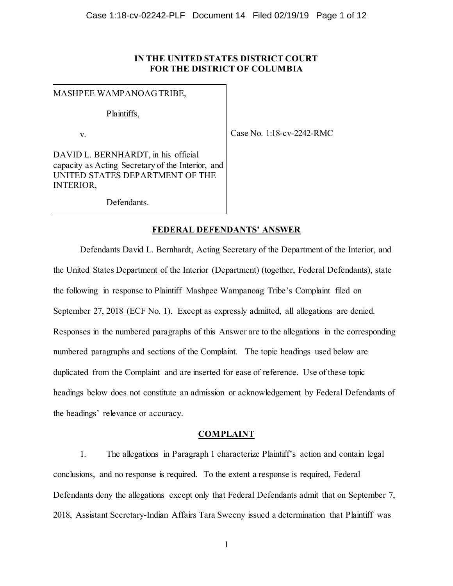# **IN THE UNITED STATES DISTRICT COURT FOR THE DISTRICT OF COLUMBIA**

MASHPEE WAMPANOAG TRIBE,

Plaintiffs,

v.

Case No. 1:18-cv-2242-RMC

DAVID L. BERNHARDT, in his official capacity as Acting Secretary of the Interior, and UNITED STATES DEPARTMENT OF THE INTERIOR,

Defendants.

# **FEDERAL DEFENDANTS' ANSWER**

Defendants David L. Bernhardt, Acting Secretary of the Department of the Interior, and the United States Department of the Interior (Department) (together, Federal Defendants), state the following in response to Plaintiff Mashpee Wampanoag Tribe's Complaint filed on September 27, 2018 (ECF No. 1). Except as expressly admitted, all allegations are denied. Responses in the numbered paragraphs of this Answer are to the allegations in the corresponding numbered paragraphs and sections of the Complaint. The topic headings used below are duplicated from the Complaint and are inserted for ease of reference. Use of these topic headings below does not constitute an admission or acknowledgement by Federal Defendants of the headings' relevance or accuracy.

# **COMPLAINT**

1. The allegations in Paragraph 1 characterize Plaintiff's action and contain legal conclusions, and no response is required. To the extent a response is required, Federal Defendants deny the allegations except only that Federal Defendants admit that on September 7, 2018, Assistant Secretary-Indian Affairs Tara Sweeny issued a determination that Plaintiff was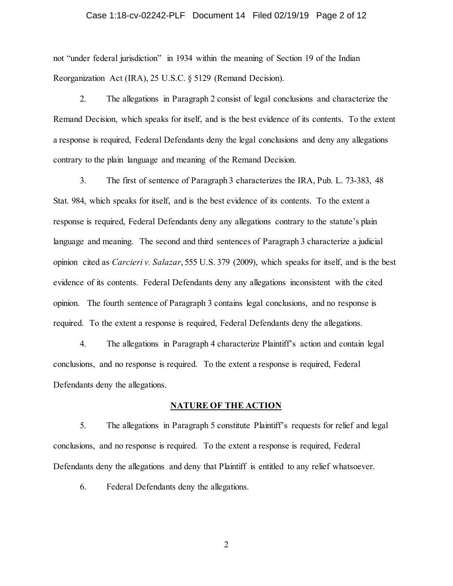#### Case 1:18-cv-02242-PLF Document 14 Filed 02/19/19 Page 2 of 12

not "under federal jurisdiction" in 1934 within the meaning of Section 19 of the Indian Reorganization Act (IRA), 25 U.S.C. § 5129 (Remand Decision).

2. The allegations in Paragraph 2 consist of legal conclusions and characterize the Remand Decision, which speaks for itself, and is the best evidence of its contents. To the extent a response is required, Federal Defendants deny the legal conclusions and deny any allegations contrary to the plain language and meaning of the Remand Decision.

3. The first of sentence of Paragraph 3 characterizes the IRA, Pub. L. 73-383, 48 Stat. 984, which speaks for itself, and is the best evidence of its contents. To the extent a response is required, Federal Defendants deny any allegations contrary to the statute's plain language and meaning. The second and third sentences of Paragraph 3 characterize a judicial opinion cited as *Carcieri v. Salazar*, 555 U.S. 379 (2009), which speaks for itself, and is the best evidence of its contents. Federal Defendants deny any allegations inconsistent with the cited opinion. The fourth sentence of Paragraph 3 contains legal conclusions, and no response is required. To the extent a response is required, Federal Defendants deny the allegations.

4. The allegations in Paragraph 4 characterize Plaintiff's action and contain legal conclusions, and no response is required. To the extent a response is required, Federal Defendants deny the allegations.

### **NATURE OF THE ACTION**

5. The allegations in Paragraph 5 constitute Plaintiff's requests for relief and legal conclusions, and no response is required. To the extent a response is required, Federal Defendants deny the allegations and deny that Plaintiff is entitled to any relief whatsoever.

6. Federal Defendants deny the allegations.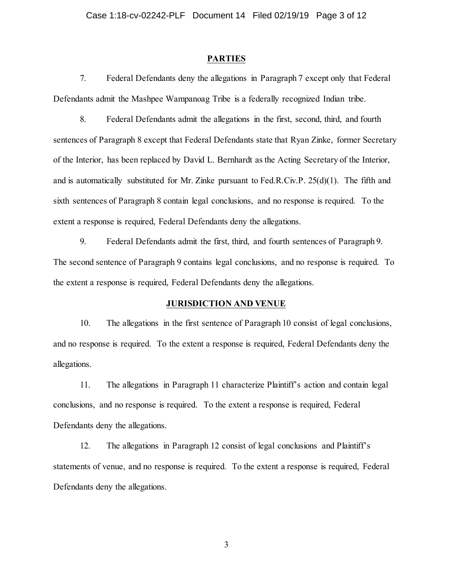### **PARTIES**

7. Federal Defendants deny the allegations in Paragraph 7 except only that Federal Defendants admit the Mashpee Wampanoag Tribe is a federally recognized Indian tribe.

8. Federal Defendants admit the allegations in the first, second, third, and fourth sentences of Paragraph 8 except that Federal Defendants state that Ryan Zinke, former Secretary of the Interior, has been replaced by David L. Bernhardt as the Acting Secretary of the Interior, and is automatically substituted for Mr. Zinke pursuant to Fed.R.Civ.P. 25(d)(1). The fifth and sixth sentences of Paragraph 8 contain legal conclusions, and no response is required. To the extent a response is required, Federal Defendants deny the allegations.

9. Federal Defendants admit the first, third, and fourth sentences of Paragraph 9. The second sentence of Paragraph 9 contains legal conclusions, and no response is required. To the extent a response is required, Federal Defendants deny the allegations.

### **JURISDICTION AND VENUE**

10. The allegations in the first sentence of Paragraph 10 consist of legal conclusions, and no response is required. To the extent a response is required, Federal Defendants deny the allegations.

11. The allegations in Paragraph 11 characterize Plaintiff's action and contain legal conclusions, and no response is required. To the extent a response is required, Federal Defendants deny the allegations.

12. The allegations in Paragraph 12 consist of legal conclusions and Plaintiff's statements of venue, and no response is required. To the extent a response is required, Federal Defendants deny the allegations.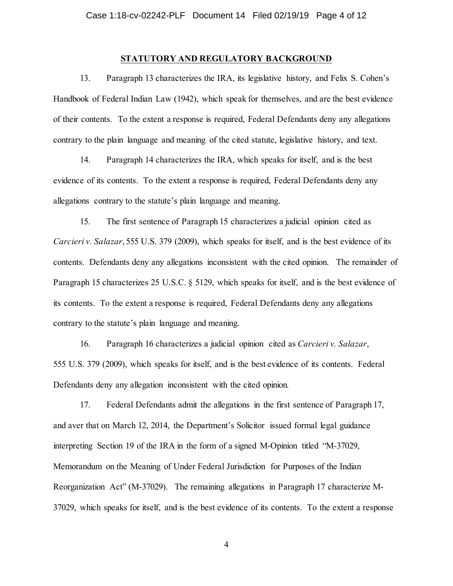### **STATUTORY AND REGULATORY BACKGROUND**

13. Paragraph 13 characterizes the IRA, its legislative history, and Felix S. Cohen's Handbook of Federal Indian Law (1942), which speak for themselves, and are the best evidence of their contents. To the extent a response is required, Federal Defendants deny any allegations contrary to the plain language and meaning of the cited statute, legislative history, and text.

14. Paragraph 14 characterizes the IRA, which speaks for itself, and is the best evidence of its contents. To the extent a response is required, Federal Defendants deny any allegations contrary to the statute's plain language and meaning.

15. The first sentence of Paragraph 15 characterizes a judicial opinion cited as *Carcieri v. Salazar*, 555 U.S. 379 (2009), which speaks for itself, and is the best evidence of its contents. Defendants deny any allegations inconsistent with the cited opinion. The remainder of Paragraph 15 characterizes 25 U.S.C. § 5129, which speaks for itself, and is the best evidence of its contents. To the extent a response is required, Federal Defendants deny any allegations contrary to the statute's plain language and meaning.

16. Paragraph 16 characterizes a judicial opinion cited as *Carcieri v. Salazar*, 555 U.S. 379 (2009), which speaks for itself, and is the best evidence of its contents. Federal Defendants deny any allegation inconsistent with the cited opinion*.* 

17. Federal Defendants admit the allegations in the first sentence of Paragraph 17, and aver that on March 12, 2014, the Department's Solicitor issued formal legal guidance interpreting Section 19 of the IRA in the form of a signed M-Opinion titled "M-37029, Memorandum on the Meaning of Under Federal Jurisdiction for Purposes of the Indian Reorganization Act" (M-37029). The remaining allegations in Paragraph 17 characterize M-37029, which speaks for itself, and is the best evidence of its contents. To the extent a response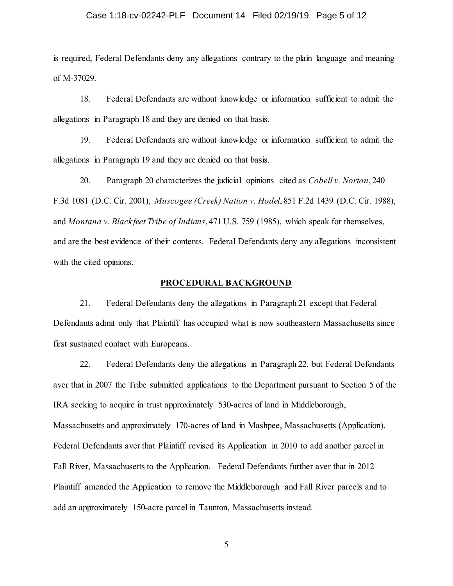#### Case 1:18-cv-02242-PLF Document 14 Filed 02/19/19 Page 5 of 12

is required, Federal Defendants deny any allegations contrary to the plain language and meaning of M-37029.

18. Federal Defendants are without knowledge or information sufficient to admit the allegations in Paragraph 18 and they are denied on that basis.

19. Federal Defendants are without knowledge or information sufficient to admit the allegations in Paragraph 19 and they are denied on that basis.

20. Paragraph 20 characterizes the judicial opinions cited as *Cobell v. Norton*, 240 F.3d 1081 (D.C. Cir. 2001), *Muscogee (Creek) Nation v. Hodel*, 851 F.2d 1439 (D.C. Cir. 1988), and *Montana v. Blackfeet Tribe of Indians*, 471 U.S. 759 (1985), which speak for themselves, and are the best evidence of their contents. Federal Defendants deny any allegations inconsistent with the cited opinions.

### **PROCEDURAL BACKGROUND**

21. Federal Defendants deny the allegations in Paragraph 21 except that Federal Defendants admit only that Plaintiff has occupied what is now southeastern Massachusetts since first sustained contact with Europeans.

22. Federal Defendants deny the allegations in Paragraph 22, but Federal Defendants aver that in 2007 the Tribe submitted applications to the Department pursuant to Section 5 of the IRA seeking to acquire in trust approximately 530-acres of land in Middleborough, Massachusetts and approximately 170-acres of land in Mashpee, Massachusetts (Application). Federal Defendants aver that Plaintiff revised its Application in 2010 to add another parcel in Fall River, Massachusetts to the Application. Federal Defendants further aver that in 2012 Plaintiff amended the Application to remove the Middleborough and Fall River parcels and to add an approximately 150-acre parcel in Taunton, Massachusetts instead.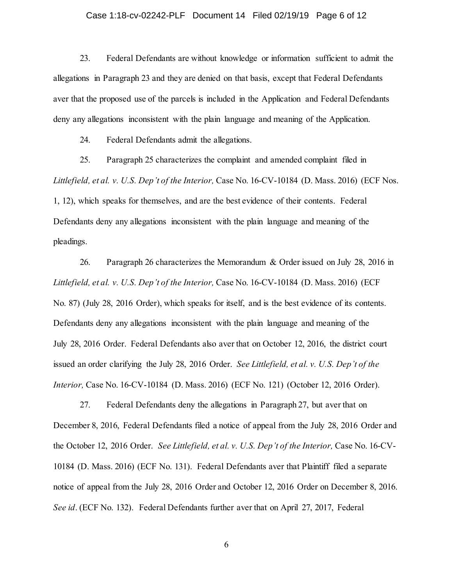#### Case 1:18-cv-02242-PLF Document 14 Filed 02/19/19 Page 6 of 12

23. Federal Defendants are without knowledge or information sufficient to admit the allegations in Paragraph 23 and they are denied on that basis, except that Federal Defendants aver that the proposed use of the parcels is included in the Application and Federal Defendants deny any allegations inconsistent with the plain language and meaning of the Application.

24. Federal Defendants admit the allegations.

25. Paragraph 25 characterizes the complaint and amended complaint filed in *Littlefield, et al. v. U.S. Dep't of the Interior,* Case No. 16-CV-10184 (D. Mass. 2016) (ECF Nos. 1, 12), which speaks for themselves, and are the best evidence of their contents. Federal Defendants deny any allegations inconsistent with the plain language and meaning of the pleadings.

26. Paragraph 26 characterizes the Memorandum & Order issued on July 28, 2016 in *Littlefield, et al. v. U.S. Dep't of the Interior,* Case No. 16-CV-10184 (D. Mass. 2016) (ECF No. 87) (July 28, 2016 Order), which speaks for itself, and is the best evidence of its contents. Defendants deny any allegations inconsistent with the plain language and meaning of the July 28, 2016 Order. Federal Defendants also aver that on October 12, 2016, the district court issued an order clarifying the July 28, 2016 Order. *See Littlefield, et al. v. U.S. Dep't of the Interior,* Case No. 16-CV-10184 (D. Mass. 2016) (ECF No. 121) (October 12, 2016 Order).

27. Federal Defendants deny the allegations in Paragraph 27, but aver that on December 8, 2016, Federal Defendants filed a notice of appeal from the July 28, 2016 Order and the October 12, 2016 Order. *See Littlefield, et al. v. U.S. Dep't of the Interior,* Case No. 16-CV-10184 (D. Mass. 2016) (ECF No. 131). Federal Defendants aver that Plaintiff filed a separate notice of appeal from the July 28, 2016 Order and October 12, 2016 Order on December 8, 2016. *See id*. (ECF No. 132). Federal Defendants further aver that on April 27, 2017, Federal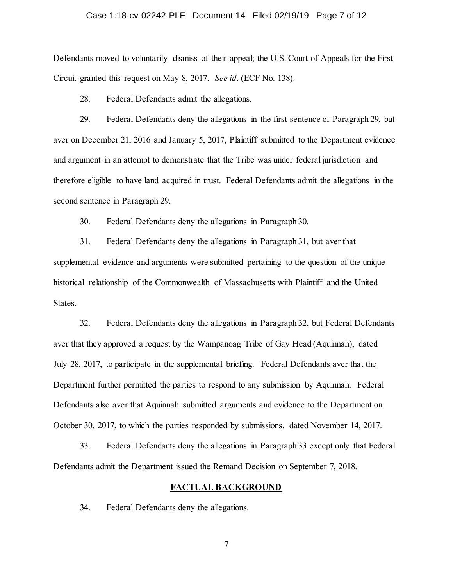#### Case 1:18-cv-02242-PLF Document 14 Filed 02/19/19 Page 7 of 12

Defendants moved to voluntarily dismiss of their appeal; the U.S. Court of Appeals for the First Circuit granted this request on May 8, 2017. *See id*. (ECF No. 138).

28. Federal Defendants admit the allegations.

29. Federal Defendants deny the allegations in the first sentence of Paragraph 29, but aver on December 21, 2016 and January 5, 2017, Plaintiff submitted to the Department evidence and argument in an attempt to demonstrate that the Tribe was under federal jurisdiction and therefore eligible to have land acquired in trust. Federal Defendants admit the allegations in the second sentence in Paragraph 29.

30. Federal Defendants deny the allegations in Paragraph 30.

31. Federal Defendants deny the allegations in Paragraph 31, but aver that supplemental evidence and arguments were submitted pertaining to the question of the unique historical relationship of the Commonwealth of Massachusetts with Plaintiff and the United States.

32. Federal Defendants deny the allegations in Paragraph 32, but Federal Defendants aver that they approved a request by the Wampanoag Tribe of Gay Head (Aquinnah), dated July 28, 2017, to participate in the supplemental briefing. Federal Defendants aver that the Department further permitted the parties to respond to any submission by Aquinnah. Federal Defendants also aver that Aquinnah submitted arguments and evidence to the Department on October 30, 2017, to which the parties responded by submissions, dated November 14, 2017.

33. Federal Defendants deny the allegations in Paragraph 33 except only that Federal Defendants admit the Department issued the Remand Decision on September 7, 2018.

#### **FACTUAL BACKGROUND**

34. Federal Defendants deny the allegations.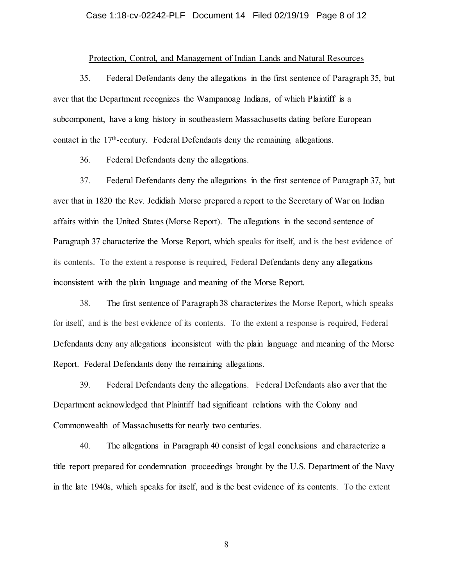#### Case 1:18-cv-02242-PLF Document 14 Filed 02/19/19 Page 8 of 12

### Protection, Control, and Management of Indian Lands and Natural Resources

35. Federal Defendants deny the allegations in the first sentence of Paragraph 35, but aver that the Department recognizes the Wampanoag Indians, of which Plaintiff is a subcomponent, have a long history in southeastern Massachusetts dating before European contact in the 17th-century. Federal Defendants deny the remaining allegations.

36. Federal Defendants deny the allegations.

37. Federal Defendants deny the allegations in the first sentence of Paragraph 37, but aver that in 1820 the Rev. Jedidiah Morse prepared a report to the Secretary of War on Indian affairs within the United States (Morse Report). The allegations in the second sentence of Paragraph 37 characterize the Morse Report, which speaks for itself, and is the best evidence of its contents. To the extent a response is required, Federal Defendants deny any allegations inconsistent with the plain language and meaning of the Morse Report.

38. The first sentence of Paragraph 38 characterizes the Morse Report, which speaks for itself, and is the best evidence of its contents. To the extent a response is required, Federal Defendants deny any allegations inconsistent with the plain language and meaning of the Morse Report. Federal Defendants deny the remaining allegations.

39. Federal Defendants deny the allegations. Federal Defendants also aver that the Department acknowledged that Plaintiff had significant relations with the Colony and Commonwealth of Massachusetts for nearly two centuries.

40. The allegations in Paragraph 40 consist of legal conclusions and characterize a title report prepared for condemnation proceedings brought by the U.S. Department of the Navy in the late 1940s, which speaks for itself, and is the best evidence of its contents. To the extent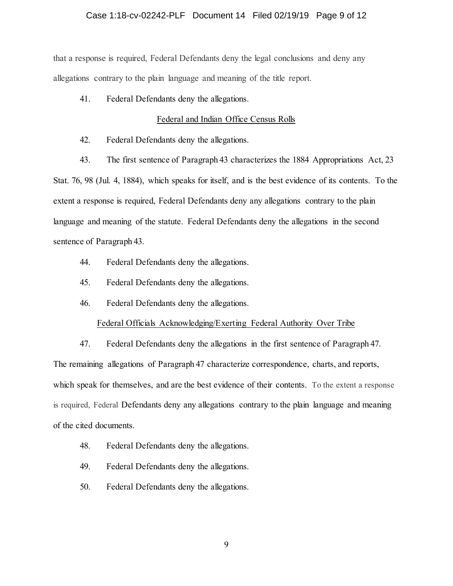### Case 1:18-cv-02242-PLF Document 14 Filed 02/19/19 Page 9 of 12

that a response is required, Federal Defendants deny the legal conclusions and deny any allegations contrary to the plain language and meaning of the title report.

41. Federal Defendants deny the allegations.

### Federal and Indian Office Census Rolls

- 42. Federal Defendants deny the allegations.
- 43. The first sentence of Paragraph 43 characterizes the 1884 Appropriations Act, 23

Stat. 76, 98 (Jul. 4, 1884), which speaks for itself, and is the best evidence of its contents. To the extent a response is required, Federal Defendants deny any allegations contrary to the plain language and meaning of the statute. Federal Defendants deny the allegations in the second sentence of Paragraph 43.

- 44. Federal Defendants deny the allegations.
- 45. Federal Defendants deny the allegations.
- 46. Federal Defendants deny the allegations.

### Federal Officials Acknowledging/Exerting Federal Authority Over Tribe

47. Federal Defendants deny the allegations in the first sentence of Paragraph 47. The remaining allegations of Paragraph 47 characterize correspondence, charts, and reports, which speak for themselves, and are the best evidence of their contents. To the extent a response is required, Federal Defendants deny any allegations contrary to the plain language and meaning of the cited documents.

- 48. Federal Defendants deny the allegations.
- 49. Federal Defendants deny the allegations.
- 50. Federal Defendants deny the allegations.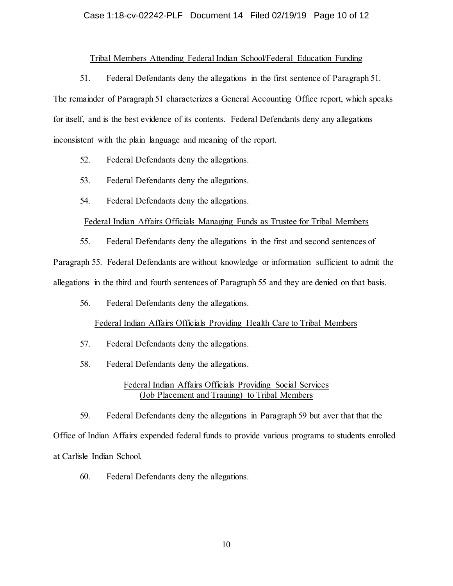### Case 1:18-cv-02242-PLF Document 14 Filed 02/19/19 Page 10 of 12

# Tribal Members Attending Federal Indian School/Federal Education Funding

51. Federal Defendants deny the allegations in the first sentence of Paragraph 51. The remainder of Paragraph 51 characterizes a General Accounting Office report, which speaks for itself, and is the best evidence of its contents. Federal Defendants deny any allegations inconsistent with the plain language and meaning of the report.

- 52. Federal Defendants deny the allegations.
- 53. Federal Defendants deny the allegations.
- 54. Federal Defendants deny the allegations.

### Federal Indian Affairs Officials Managing Funds as Trustee for Tribal Members

55. Federal Defendants deny the allegations in the first and second sentences of

Paragraph 55. Federal Defendants are without knowledge or information sufficient to admit the allegations in the third and fourth sentences of Paragraph 55 and they are denied on that basis.

56. Federal Defendants deny the allegations.

### Federal Indian Affairs Officials Providing Health Care to Tribal Members

- 57. Federal Defendants deny the allegations.
- 58. Federal Defendants deny the allegations.

### Federal Indian Affairs Officials Providing Social Services (Job Placement and Training) to Tribal Members

59. Federal Defendants deny the allegations in Paragraph 59 but aver that that the Office of Indian Affairs expended federal funds to provide various programs to students enrolled at Carlisle Indian School.

60. Federal Defendants deny the allegations.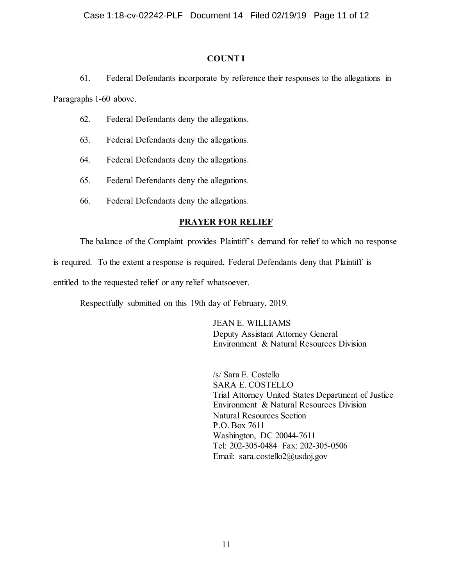# **COUNT I**

61. Federal Defendants incorporate by reference their responses to the allegations in

Paragraphs 1-60 above.

- 62. Federal Defendants deny the allegations.
- 63. Federal Defendants deny the allegations.
- 64. Federal Defendants deny the allegations.
- 65. Federal Defendants deny the allegations.
- 66. Federal Defendants deny the allegations.

# **PRAYER FOR RELIEF**

The balance of the Complaint provides Plaintiff's demand for relief to which no response

is required. To the extent a response is required, Federal Defendants deny that Plaintiff is

entitled to the requested relief or any relief whatsoever.

Respectfully submitted on this 19th day of February, 2019.

JEAN E. WILLIAMS Deputy Assistant Attorney General Environment & Natural Resources Division

/s/ Sara E. Costello SARA E. COSTELLO Trial Attorney United States Department of Justice Environment & Natural Resources Division Natural Resources Section P.O. Box 7611 Washington, DC 20044-7611 Tel: 202-305-0484 Fax: 202-305-0506 Email: sara.costello2@usdoj.gov